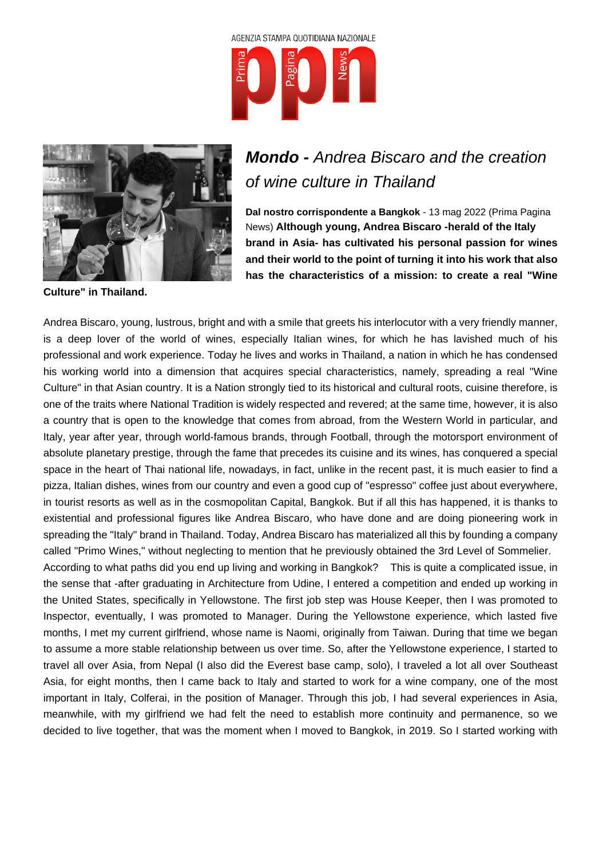



## **Mondo -** Andrea Biscaro and the creation of wine culture in Thailand

**Dal nostro corrispondente a Bangkok** - 13 mag 2022 (Prima Pagina News) **Although young, Andrea Biscaro -herald of the Italy brand in Asia- has cultivated his personal passion for wines and their world to the point of turning it into his work that also has the characteristics of a mission: to create a real "Wine**

**Culture" in Thailand.**

Andrea Biscaro, young, lustrous, bright and with a smile that greets his interlocutor with a very friendly manner, is a deep lover of the world of wines, especially Italian wines, for which he has lavished much of his professional and work experience. Today he lives and works in Thailand, a nation in which he has condensed his working world into a dimension that acquires special characteristics, namely, spreading a real "Wine Culture" in that Asian country. It is a Nation strongly tied to its historical and cultural roots, cuisine therefore, is one of the traits where National Tradition is widely respected and revered; at the same time, however, it is also a country that is open to the knowledge that comes from abroad, from the Western World in particular, and Italy, year after year, through world-famous brands, through Football, through the motorsport environment of absolute planetary prestige, through the fame that precedes its cuisine and its wines, has conquered a special space in the heart of Thai national life, nowadays, in fact, unlike in the recent past, it is much easier to find a pizza, Italian dishes, wines from our country and even a good cup of "espresso" coffee just about everywhere, in tourist resorts as well as in the cosmopolitan Capital, Bangkok. But if all this has happened, it is thanks to existential and professional figures like Andrea Biscaro, who have done and are doing pioneering work in spreading the "Italy" brand in Thailand. Today, Andrea Biscaro has materialized all this by founding a company called "Primo Wines," without neglecting to mention that he previously obtained the 3rd Level of Sommelier. According to what paths did you end up living and working in Bangkok? This is quite a complicated issue, in the sense that -after graduating in Architecture from Udine, I entered a competition and ended up working in the United States, specifically in Yellowstone. The first job step was House Keeper, then I was promoted to Inspector, eventually, I was promoted to Manager. During the Yellowstone experience, which lasted five months, I met my current girlfriend, whose name is Naomi, originally from Taiwan. During that time we began to assume a more stable relationship between us over time. So, after the Yellowstone experience, I started to travel all over Asia, from Nepal (I also did the Everest base camp, solo), I traveled a lot all over Southeast Asia, for eight months, then I came back to Italy and started to work for a wine company, one of the most important in Italy, Colferai, in the position of Manager. Through this job, I had several experiences in Asia, meanwhile, with my girlfriend we had felt the need to establish more continuity and permanence, so we decided to live together, that was the moment when I moved to Bangkok, in 2019. So I started working with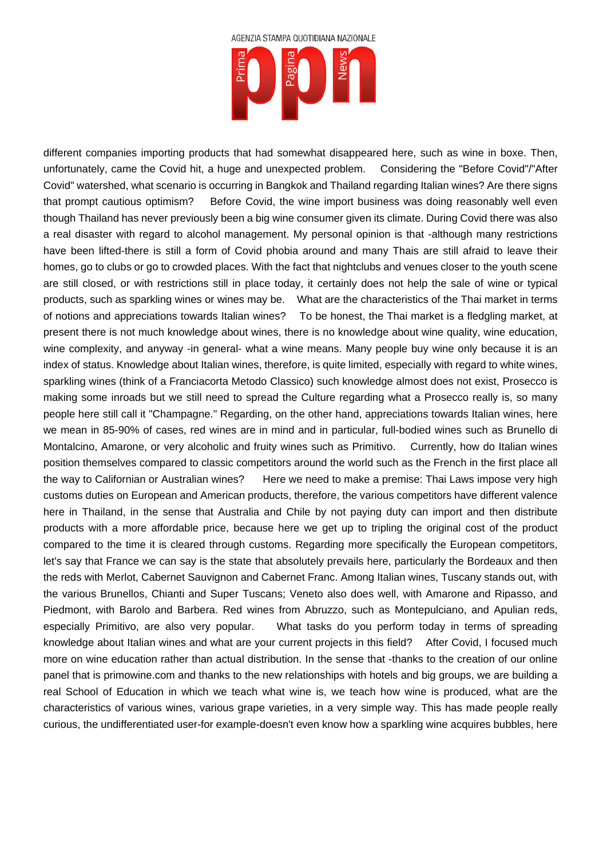

different companies importing products that had somewhat disappeared here, such as wine in boxe. Then, unfortunately, came the Covid hit, a huge and unexpected problem. Considering the "Before Covid"/"After Covid" watershed, what scenario is occurring in Bangkok and Thailand regarding Italian wines? Are there signs that prompt cautious optimism? Before Covid, the wine import business was doing reasonably well even though Thailand has never previously been a big wine consumer given its climate. During Covid there was also a real disaster with regard to alcohol management. My personal opinion is that -although many restrictions have been lifted-there is still a form of Covid phobia around and many Thais are still afraid to leave their homes, go to clubs or go to crowded places. With the fact that nightclubs and venues closer to the youth scene are still closed, or with restrictions still in place today, it certainly does not help the sale of wine or typical products, such as sparkling wines or wines may be. What are the characteristics of the Thai market in terms of notions and appreciations towards Italian wines? To be honest, the Thai market is a fledgling market, at present there is not much knowledge about wines, there is no knowledge about wine quality, wine education, wine complexity, and anyway -in general- what a wine means. Many people buy wine only because it is an index of status. Knowledge about Italian wines, therefore, is quite limited, especially with regard to white wines, sparkling wines (think of a Franciacorta Metodo Classico) such knowledge almost does not exist, Prosecco is making some inroads but we still need to spread the Culture regarding what a Prosecco really is, so many people here still call it "Champagne." Regarding, on the other hand, appreciations towards Italian wines, here we mean in 85-90% of cases, red wines are in mind and in particular, full-bodied wines such as Brunello di Montalcino, Amarone, or very alcoholic and fruity wines such as Primitivo. Currently, how do Italian wines position themselves compared to classic competitors around the world such as the French in the first place all the way to Californian or Australian wines? Here we need to make a premise: Thai Laws impose very high customs duties on European and American products, therefore, the various competitors have different valence here in Thailand, in the sense that Australia and Chile by not paying duty can import and then distribute products with a more affordable price, because here we get up to tripling the original cost of the product compared to the time it is cleared through customs. Regarding more specifically the European competitors, let's say that France we can say is the state that absolutely prevails here, particularly the Bordeaux and then the reds with Merlot, Cabernet Sauvignon and Cabernet Franc. Among Italian wines, Tuscany stands out, with the various Brunellos, Chianti and Super Tuscans; Veneto also does well, with Amarone and Ripasso, and Piedmont, with Barolo and Barbera. Red wines from Abruzzo, such as Montepulciano, and Apulian reds, especially Primitivo, are also very popular. What tasks do you perform today in terms of spreading knowledge about Italian wines and what are your current projects in this field? After Covid, I focused much more on wine education rather than actual distribution. In the sense that -thanks to the creation of our online panel that is primowine.com and thanks to the new relationships with hotels and big groups, we are building a real School of Education in which we teach what wine is, we teach how wine is produced, what are the characteristics of various wines, various grape varieties, in a very simple way. This has made people really curious, the undifferentiated user-for example-doesn't even know how a sparkling wine acquires bubbles, here